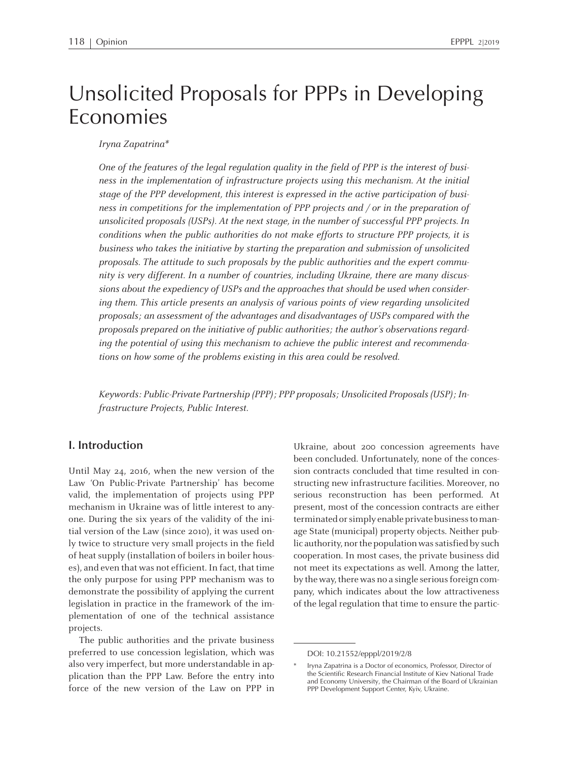# Unsolicited Proposals for PPPs in Developing Economies

Iryna Zapatrina\*

One of the features of the legal regulation quality in the field of PPP is the interest of business in the implementation of infrastructure projects using this mechanism. At the initial stage of the PPP development, this interest is expressed in the active participation of business in competitions for the implementation of PPP projects and / or in the preparation of unsolicited proposals (USPs). At the next stage, in the number of successful PPP projects. In conditions when the public authorities do not make efforts to structure PPP projects, it is business who takes the initiative by starting the preparation and submission of unsolicited proposals. The attitude to such proposals by the public authorities and the exper<sup>t</sup> community is very different. In <sup>a</sup> number of countries, including Ukraine, there are many discussions about the expediency of USPs and the approaches that should be used when considering them. This article presents an analysis of various points of view regarding unsolicited proposals; an assessment of the advantages and disadvantages of USPs compared with the proposals prepared on the initiative of public authorities; the author's observations regarding the potential of using this mechanism to achieve the public interest and recommendations on how some of the problems existing in this area could be resolved.

Keywords: Public-Private Partnership (PPP); PPP proposals; Unsolicited Proposals(USP); Infrastructure Projects, Public Interest.

## **I. Introduction**

Until May 24, 2016, when the new version of the Law 'On Public-Private Partnership' has become valid, the implementation of projects using PPP mechanism in Ukraine was of little interest to anyone. During the six years of the validity of the initial version of the Law (since 2010), it was used only twice to structure very small projects in the field of heat supply (installation of boilers in boiler houses), and even that was not efficient. In fact, that time the only purpose for using PPP mechanism was to demonstrate the possibility of applying the current legislation in practice in the framework of the implementation of one of the technical assistance projects.

The public authorities and the private business preferred to use concession legislation, which was also very imperfect, but more understandable in application than the PPP Law. Before the entry into force of the new version of the Law on PPP in

Ukraine, about <sup>200</sup> concession agreements have been concluded. Unfortunately, none of the concession contracts concluded that time resulted in constructing new infrastructure facilities. Moreover, no serious reconstruction has been performed. At present, most of the concession contracts are either terminated or simply enable private business to manage State (municipal) property objects. Neither public authority, nor the population was satisfied by such cooperation. In most cases, the private business did not meet its expectations as well. Among the latter, by the way, there was no a single serious foreign company, which indicates about the low attractiveness of the legal regulation that time to ensure the partic-

DOI: 10.21552/epppl/2019/2/8

<sup>\*</sup> Iryna Zapatrina is <sup>a</sup> Doctor of economics, Professor, Director of the Scientific Research Financial Institute of Kiev National Trade and Economy University, the Chairman of the Board of Ukrainian PPP Development Support Center, Kyiv, Ukraine.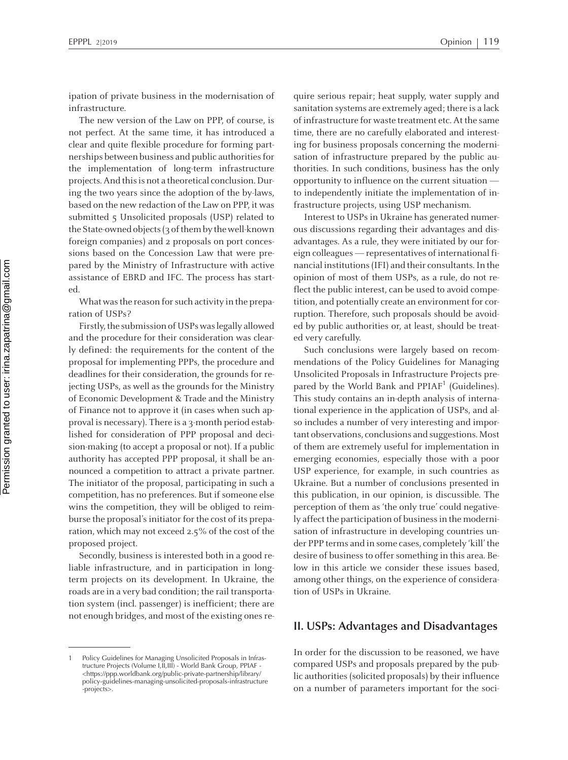ipation of private business in the modernisation of infrastructure.

The new version of the Law on PPP, of course, is not perfect. At the same time, it has introduced <sup>a</sup> clear and quite flexible procedure for forming partnerships between business and public authoritiesfor the implementation of long-term infrastructure projects.And thisis not <sup>a</sup> theoretical conclusion.During the two years since the adoption of the by-laws, based on the new redaction of the Law on PPP, it was submitted 5 Unsolicited proposals (USP) related to the State-owned objects (3 of them by the well-known foreign companies) and <sup>2</sup> proposals on por<sup>t</sup> concessions based on the Concession Law that were prepared by the Ministry of Infrastructure with active assistance of EBRD and IFC. The process has started.

What was the reason for such activity in the preparation of USPs?

Firstly, the submission of USPs was legally allowed and the procedure for their consideration was clearly defined: the requirements for the content of the proposal for implementing PPPs, the procedure and deadlines for their consideration, the grounds for rejecting USPs, as well as the grounds for the Ministry of Economic Development & Trade and the Ministry of Finance not to approve it (in cases when such approval is necessary). There is a 3-month period established for consideration of PPP proposal and decision-making (to accep<sup>t</sup> <sup>a</sup> proposal or not). If <sup>a</sup> public authority has accepted PPP proposal, it shall be announced <sup>a</sup> competition to attract <sup>a</sup> private partner. The initiator of the proposal, participating in such <sup>a</sup> competition, has no preferences. But if someone else wins the competition, they will be obliged to reimburse the proposal's initiator for the cost of its preparation, which may not exceed 2.5% of the cost of the proposed project.

Secondly, business is interested both in <sup>a</sup> good reliable infrastructure, and in participation in longterm projects on its development. In Ukraine, the roads are in <sup>a</sup> very bad condition; the rail transportation system (incl. passenger) is inefficient; there are not enough bridges, and most of the existing ones require serious repair; heat supply, water supply and sanitation systems are extremely aged; there is <sup>a</sup> lack of infrastructure for waste treatment etc. At the same time, there are no carefully elaborated and interesting for business proposals concerning the modernisation of infrastructure prepared by the public authorities. In such conditions, business has the only opportunity to influence on the current situation to independently initiate the implementation of infrastructure projects, using USP mechanism.

Interest to USPs in Ukraine has generated numerous discussions regarding their advantages and disadvantages. As <sup>a</sup> rule, they were initiated by our foreign colleagues — representatives of international financial institutions (IFI) and their consultants. In the opinion of most of them USPs, as <sup>a</sup> rule, do not reflect the public interest, can be used to avoid competition, and potentially create an environment for corruption. Therefore, such proposals should be avoided by public authorities or, at least, should be treated very carefully.

Such conclusions were largely based on recommendations of the Policy Guidelines for Managing Unsolicited Proposals in Infrastructure Projects prepared by the World Bank and PPIAF<sup>1</sup> (Guidelines). This study contains an in-depth analysis of international experience in the application of USPs, and also includes <sup>a</sup> number of very interesting and important observations, conclusions and suggestions. Most of them are extremely useful for implementation in emerging economies, especially those with <sup>a</sup> poor USP experience, for example, in such countries as Ukraine. But <sup>a</sup> number of conclusions presented in this publication, in our opinion, is discussible. The perception of them as 'the only true' could negatively affect the participation of business in the modernisation of infrastructure in developing countries under PPP terms and in some cases, completely 'kill' the desire of business to offer something in this area. Below in this article we consider these issues based, among other things, on the experience of consideration of USPs in Ukraine. .<br>P

## **II. USPs: Advantages and Disadvantages**

In order for the discussion to be reasoned, we have compared USPs and proposals prepared by the public authorities (solicited proposals) by their influence on <sup>a</sup> number of parameters important for the soci-

<sup>1</sup> Policy Guidelines for Managing Unsolicited Proposals in Infrastructure Projects (Volume I,II,III) - World Bank Group, PPIAF - <https://ppp.worldbank.org/public-private-partnership/library/ policy-guidelines-managing-unsolicited-proposals-infrastructure -projects>.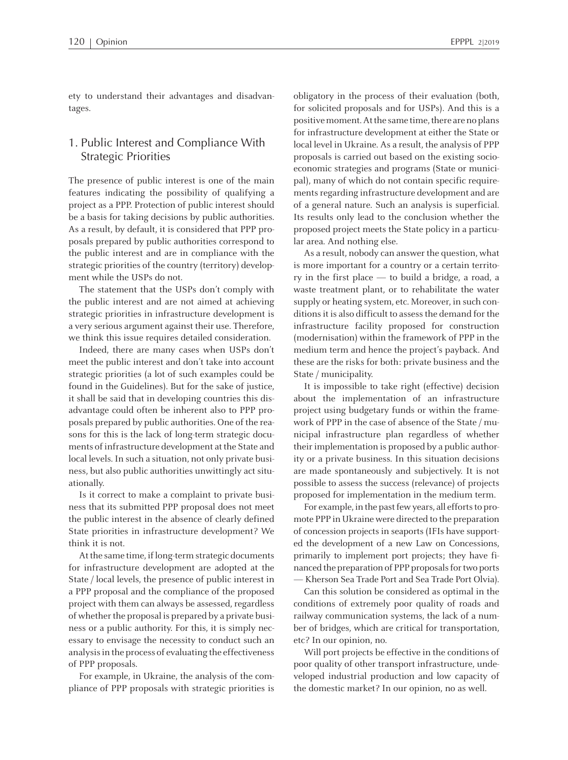ety to understand their advantages and disadvantages.

## 1. Public Interest and Compliance With Strategic Priorities

The presence of public interest is one of the main features indicating the possibility of qualifying <sup>a</sup> project as <sup>a</sup> PPP. Protection of public interest should be <sup>a</sup> basis for taking decisions by public authorities. As <sup>a</sup> result, by default, it is considered that PPP proposals prepared by public authorities correspond to the public interest and are in compliance with the strategic priorities of the country (territory) development while the USPs do not.

The statement that the USPs don't comply with the public interest and are not aimed at achieving strategic priorities in infrastructure development is <sup>a</sup> very serious argumen<sup>t</sup> against their use. Therefore, we think this issue requires detailed consideration.

Indeed, there are many cases when USPs don't meet the public interest and don't take into account strategic priorities (a lot of such examples could be found in the Guidelines). But for the sake of justice, it shall be said that in developing countries this disadvantage could often be inherent also to PPP proposals prepared by public authorities. One of the reasons for this is the lack of long-term strategic documents of infrastructure development at the State and local levels. In such <sup>a</sup> situation, not only private business, but also public authorities unwittingly act situationally.

Is it correct to make <sup>a</sup> complaint to private business that its submitted PPP proposal does not meet the public interest in the absence of clearly defined State priorities in infrastructure development? We think it is not.

At the same time, if long-term strategic documents for infrastructure development are adopted at the State / local levels, the presence of public interest in <sup>a</sup> PPP proposal and the compliance of the proposed project with themcan always be assessed, regardless of whether the proposal is prepared by a private business or <sup>a</sup> public authority. For this, it is simply necessary to envisage the necessity to conduct such an analysisin the process of evaluating the effectiveness of PPP proposals.

For example, in Ukraine, the analysis of the compliance of PPP proposals with strategic priorities is obligatory in the process of their evaluation (both, for solicited proposals and for USPs). And this is <sup>a</sup> positive moment. At the same time, there are no plans for infrastructure development at either the State or local level in Ukraine. As a result, the analysis of PPP proposals is carried out based on the existing socioeconomic strategies and programs (State or municipal), many of which do not contain specific requirements regarding infrastructure development and are of <sup>a</sup> general nature. Such an analysis is superficial. Its results only lead to the conclusion whether the proposed project meets the State policy in <sup>a</sup> particular area. And nothing else.

As <sup>a</sup> result, nobody can answer the question, what is more important for <sup>a</sup> country or <sup>a</sup> certain territory in the first place — to build <sup>a</sup> bridge, <sup>a</sup> road, <sup>a</sup> waste treatment plant, or to rehabilitate the water supply or heating system, etc. Moreover, in such conditions it is also difficult to assess the demand for the infrastructure facility proposed for construction (modernisation) within the framework of PPP in the medium term and hence the project's payback. And these are the risks for both: private business and the State / municipality.

It is impossible to take right (effective) decision about the implementation of an infrastructure project using budgetary funds or within the framework of PPP in the case of absence of the State / municipal infrastructure plan regardless of whether their implementation is proposed by a public authority or <sup>a</sup> private business. In this situation decisions are made spontaneously and subjectively. It is not possible to assess the success (relevance) of projects proposed for implementation in the medium term.

For example, in the past few years, all efforts to promote PPP in Ukraine were directed to the preparation of concession projects in seaports (IFIs have supported the development of <sup>a</sup> new Law on Concessions, primarily to implement por<sup>t</sup> projects; they have financed the preparation of PPP proposals for two ports — Kherson Sea Trade Port and Sea Trade Port Olvia).

Can this solution be considered as optimal in the conditions of extremely poor quality of roads and railway communication systems, the lack of <sup>a</sup> number of bridges, which are critical for transportation, etc? In our opinion, no.

Will por<sup>t</sup> projects be effective in the conditions of poor quality of other transport infrastructure, undeveloped industrial production and low capacity of the domestic market? In our opinion, no as well.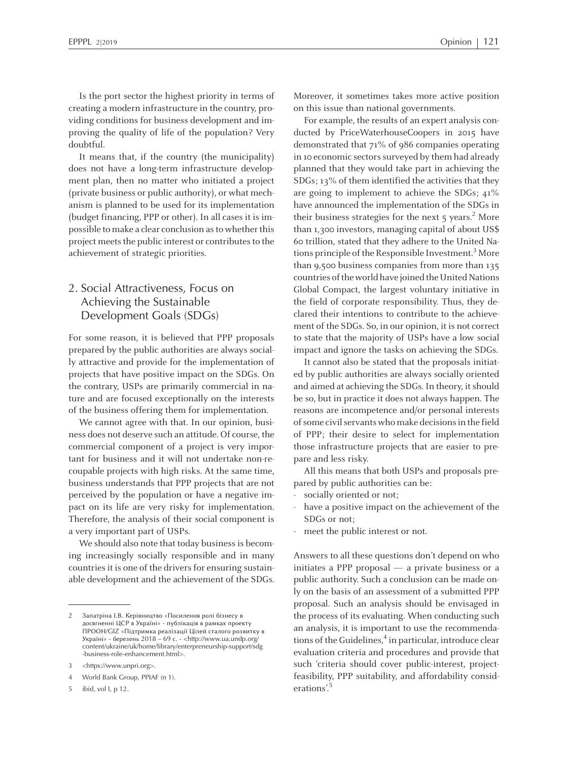Is the por<sup>t</sup> sector the highest priority in terms of creating amodern infrastructure in the country, providing conditions for business development and improving the quality of life of the population? Very doubtful.

It means that, if the country (the municipality) does not have <sup>a</sup> long-term infrastructure development plan, then no matter who initiated <sup>a</sup> project (private business or public authority), or what mechanism is planned to be used for its implementation (budget financing, PPP or other). In all cases it is impossible to make a clear conclusion as to whether this project meets the public interest or contributes to the achievement of strategic priorities.

# 2. Social Attractiveness, Focus on Achieving the Sustainable Development Goals (SDGs)

For some reason, it is believed that PPP proposals prepared by the public authorities are always socially attractive and provide for the implementation of projects that have positive impact on the SDGs. On the contrary, USPs are primarily commercial in nature and are focused exceptionally on the interests of the business offering them for implementation.

We cannot agree with that. In our opinion, business does not deserve such an attitude. Of course, the commercial componen<sup>t</sup> of <sup>a</sup> project is very important for business and it will not undertake non-recoupable projects with high risks. At the same time, business understands that PPP projects that are not perceived by the population or have <sup>a</sup> negative impac<sup>t</sup> on its life are very risky for implementation. Therefore, the analysis of their social componen<sup>t</sup> is <sup>a</sup> very important par<sup>t</sup> of USPs.

We should also note that today business is becoming increasingly socially responsible and in many countries it is one of the drivers for ensuring sustainable development and the achievement of the SDGs. Moreover, it sometimes takes more active position on this issue than national governments.

For example, the results of an exper<sup>t</sup> analysis conducted by PriceWaterhouseCoopers in 2015 have demonstrated that <sup>71</sup>% of 9<sup>86</sup> companies operating in 10 economic sectors surveyed by them had already planned that they would take par<sup>t</sup> in achieving the SDGs; 13% of themidentified the activities that they are going to implement to achieve the SDGs; 41% have announced the implementation of the SDGs in their business strategies for the next 5 years.<sup>2</sup> More than 1,300 investors, managing capital of about US\$ 60 trillion, stated that they adhere to the United Nations principle of the Responsible Investment.<sup>3</sup> More than 9,500 business companies from more than 135 countries of the world have joined the United Nations Global Compact, the largest voluntary initiative in the field of corporate responsibility. Thus, they declared their intentions to contribute to the achievement of the SDGs. So, in our opinion, it is not correct to state that the majority of USPs have <sup>a</sup> low social impact and ignore the tasks on achieving the SDGs.

It cannot also be stated that the proposals initiated by public authorities are always socially oriented and aimed at achieving the SDGs. In theory, it should be so, but in practice it does not always happen. The reasons are incompetence and/or personal interests of some civil servants who make decisions in the field of PPP; their desire to select for implementation those infrastructure projects that are easier to prepare and less risky.

All this means that both USPs and proposals prepared by public authorities can be:

- socially oriented or not;
- have <sup>a</sup> positive impact on the achievement of the SDGs or not;
- meet the public interest or not.

Answers to all these questions don't depend on who initiates <sup>a</sup> PPP proposal — <sup>a</sup> private business or <sup>a</sup> public authority. Such <sup>a</sup> conclusion can be made only on the basis of an assessment of <sup>a</sup> submitted PPP proposal. Such an analysis should be envisaged in the process of its evaluating. When conducting such an analysis, it is important to use the recommendations of the Guidelines,<sup>4</sup> in particular, introduce clear evaluation criteria and procedures and provide that such 'criteria should cover public-interest, projectfeasibility, PPP suitability, and affordability considerations'. 5

<sup>2</sup> Запатріна <sup>І</sup>.В. Керівництво «Посилення рол<sup>і</sup> бізнесу <sup>в</sup> досягненні ЦСР <sup>в</sup> Україні» - публікація <sup>в</sup> рамках проекту ПРООН/GIZ «Підтримка реалізації Цілей сталого розвитку <sup>в</sup> Україні» - березень <sup>2018</sup> – <sup>69</sup> <sup>с</sup>. - <http://www.ua.undp.org/ content/ukraine/uk/home/library/enterpreneurship-support/sdg -business-role-enhancement.html>.

<sup>3</sup> <https://www.unpri.org>.

<sup>4</sup> World Bank Group, PPIAF (n 1).

ibid, vol I, p 12.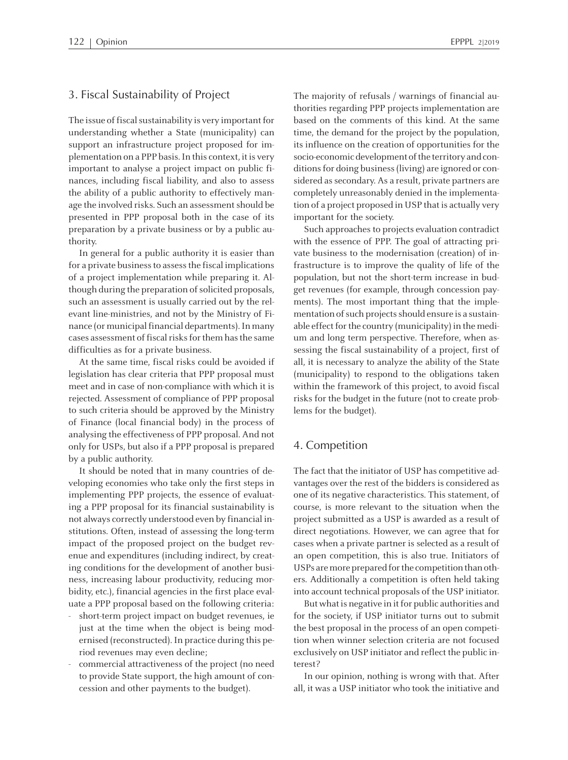## 3. Fiscal Sustainability of Project

The issue of fiscal sustainability is very important for understanding whether <sup>a</sup> State (municipality) can suppor<sup>t</sup> an infrastructure project proposed for implementation on a PPP basis. In this context, it is very important to analyse <sup>a</sup> project impact on public finances, including fiscal liability, and also to assess the ability of <sup>a</sup> public authority to effectively manage the involved risks. Such an assessment should be presented in PPP proposal both in the case of its preparation by <sup>a</sup> private business or by <sup>a</sup> public authority.

In general for <sup>a</sup> public authority it is easier than for a private business to assess the fiscal implications of <sup>a</sup> project implementation while preparing it. Although during the preparation of solicited proposals, such an assessment is usually carried out by the relevant line-ministries, and not by the Ministry of Finance (or municipal financial departments). In many cases assessment of fiscal risks for them has the same difficulties as for <sup>a</sup> private business.

At the same time, fiscal risks could be avoided if legislation has clear criteria that PPP proposal must meet and in case of non-compliance with which it is rejected. Assessment of compliance of PPP proposal to such criteria should be approved by the Ministry of Finance (local financial body) in the process of analysing the effectiveness of PPP proposal. And not only for USPs, but also if <sup>a</sup> PPP proposal is prepared by <sup>a</sup> public authority.

It should be noted that in many countries of developing economies who take only the first steps in implementing PPP projects, the essence of evaluating <sup>a</sup> PPP proposal for its financial sustainability is not always correctly understood even by financialinstitutions. Often, instead of assessing the long-term impact of the proposed project on the budget revenue and expenditures (including indirect, by creating conditions for the development of another business, increasing labour productivity, reducing morbidity, etc.), financial agencies in the first place evaluate <sup>a</sup> PPP proposal based on the following criteria:

- short-term project impact on budget revenues, ie just at the time when the object is being modernised (reconstructed).In practice during this period revenues may even decline;
- commercial attractiveness of the project (no need to provide State support, the high amount of concession and other payments to the budget).

The majority of refusals / warnings of financial authorities regarding PPP projects implementation are based on the comments of this kind. At the same time, the demand for the project by the population, its influence on the creation of opportunities for the socio-economic development of the territory and conditions for doing business (living) are ignored or considered as secondary. As a result, private partners are completely unreasonably denied in the implementation of <sup>a</sup> project proposed in USP that is actually very important for the society.

Such approaches to projects evaluation contradict with the essence of PPP. The goal of attracting private business to the modernisation (creation) of infrastructure is to improve the quality of life of the population, but not the short-term increase in budge<sup>t</sup> revenues (for example, through concession payments). The most important thing that the implementation of such projects should ensure is a sustainable effect for the country (municipality) in the medium and long term perspective. Therefore, when assessing the fiscal sustainability of <sup>a</sup> project, first of all, it is necessary to analyze the ability of the State (municipality) to respond to the obligations taken within the framework of this project, to avoid fiscal risks for the budget in the future (not to create problems for the budget).

#### 4. Competition

The fact that the initiator of USP has competitive advantages over the rest of the bidders is considered as one of its negative characteristics. This statement, of course, is more relevant to the situation when the project submitted as <sup>a</sup> USP is awarded as <sup>a</sup> result of direct negotiations. However, we can agree that for cases when <sup>a</sup> private partner is selected as <sup>a</sup> result of an open competition, this is also true. Initiators of USPs are more prepared for the competition than others. Additionally <sup>a</sup> competition is often held taking into account technical proposals of the USP initiator.

But what is negative in it for public authorities and for the society, if USP initiator turns out to submit the best proposal in the process of an open competition when winner selection criteria are not focused exclusively on USP initiator and reflect the public interest?

In our opinion, nothing is wrong with that. After all, it was <sup>a</sup> USP initiator who took the initiative and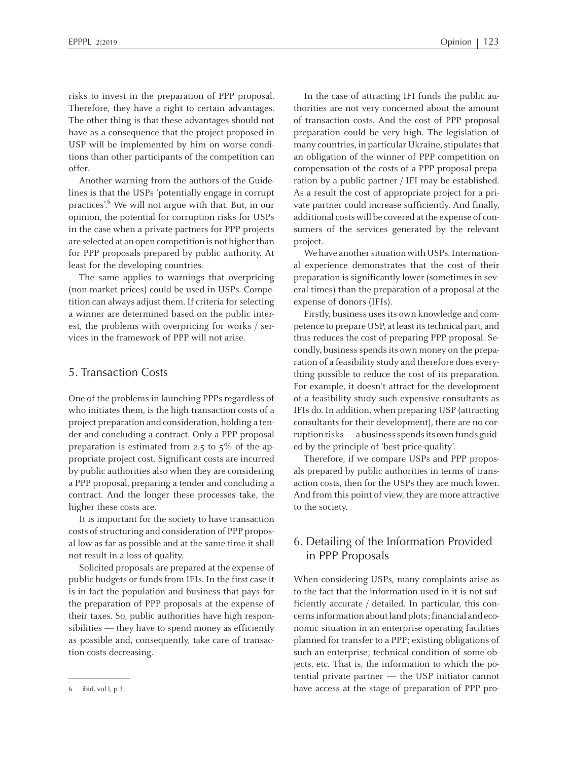risks to invest in the preparation of PPP proposal. Therefore, they have <sup>a</sup> right to certain advantages. The other thing is that these advantages should not have as <sup>a</sup> consequence that the project proposed in USP will be implemented by him on worse conditions than other participants of the competition can offer.

Another warning from the authors of the Guidelines is that the USPs 'potentially engage in corrup<sup>t</sup> practices'. <sup>6</sup> We will not argue with that. But, in our opinion, the potential for corruption risks for USPs in the case when <sup>a</sup> private partners for PPP projects are selected at an open competition is not higher than for PPP proposals prepared by public authority. At least for the developing countries.

The same applies to warnings that overpricing (non-market prices) could be used in USPs. Competition can always adjust them. If criteria forselecting <sup>a</sup> winner are determined based on the public interest, the problems with overpricing for works / services in the framework of PPP will not arise.

#### 5. Transaction Costs

One of the problems in launching PPPs regardless of who initiates them, is the high transaction costs of <sup>a</sup> project preparation and consideration, holding <sup>a</sup> tender and concluding <sup>a</sup> contract. Only <sup>a</sup> PPP proposal preparation is estimated from 2.5 to  $5\%$  of the appropriate project cost. Significant costs are incurred by public authorities also when they are considering <sup>a</sup> PPP proposal, preparing <sup>a</sup> tender and concluding <sup>a</sup> contract. And the longer these processes take, the higher these costs are.

It is important for the society to have transaction costs of structuring and consideration of PPP proposal low as far as possible and at the same time it shall not result in <sup>a</sup> loss of quality.

Solicited proposals are prepared at the expense of public budgets or funds from IFIs. In the first case it is in fact the population and business that pays for the preparation of PPP proposals at the expense of their taxes. So, public authorities have high responsibilities — they have to spend money as efficiently as possible and, consequently, take care of transaction costs decreasing.

We have another situation with USPs. International experience demonstrates that the cost of their preparation is significantly lower (sometimes in several times) than the preparation of <sup>a</sup> proposal at the expense of donors (IFIs).

Firstly, business uses its own knowledge and competence to prepare USP, at least its technical part, and thus reduces the cost of preparing PPP proposal. Secondly, business spends its own money on the preparation of <sup>a</sup> feasibility study and therefore does everything possible to reduce the cost of its preparation. For example, it doesn't attract for the development of <sup>a</sup> feasibility study such expensive consultants as IFIs do. In addition, when preparing USP (attracting consultants for their development), there are no corruptionrisks—abusinessspendsits ownfunds guided by the principle of 'best price-quality'.

Therefore, if we compare USPs and PPP proposals prepared by public authorities in terms of transaction costs, then for the USPs they are much lower. And from this point of view, they are more attractive to the society.

## 6. Detailing of the Information Provided in PPP Proposals

When considering USPs, many complaints arise as to the fact that the information used in it is not sufficiently accurate / detailed. In particular, this concerns information about land plots; financial and economic situation in an enterprise operating facilities planned for transfer to <sup>a</sup> PPP; existing obligations of such an enterprise; technical condition of some objects, etc. That is, the information to which the potential private partner — the USP initiator cannot <sup>6</sup> ibid, vol I, <sup>p</sup> 3. have access at the stage of preparation of PPP pro-

In the case of attracting IFI funds the public authorities are not very concerned about the amount of transaction costs. And the cost of PPP proposal preparation could be very high. The legislation of many countries, in particular Ukraine, stipulates that an obligation of the winner of PPP competition on compensation of the costs of <sup>a</sup> PPP proposal preparation by <sup>a</sup> public partner / IFI may be established. As <sup>a</sup> result the cost of appropriate project for <sup>a</sup> private partner could increase sufficiently. And finally, additional costs will be covered at the expense of consumers of the services generated by the relevant project.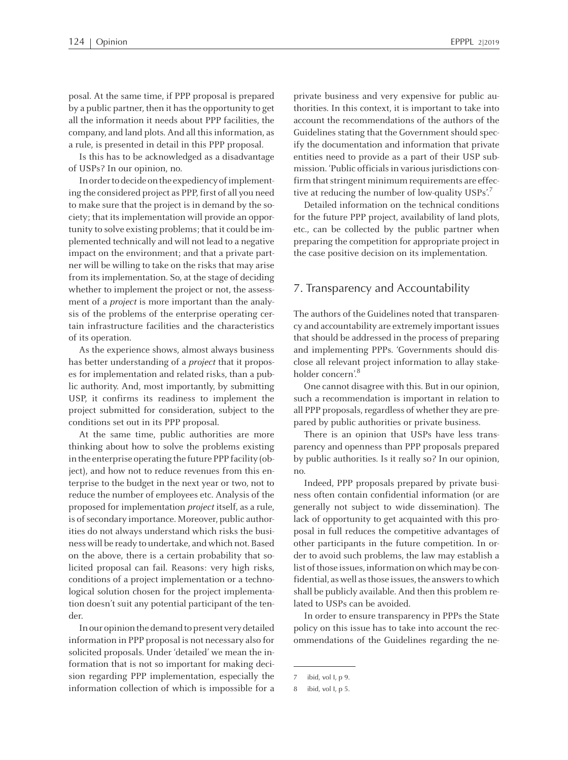posal. At the same time, if PPP proposal is prepared by a public partner, then it has the opportunity to get all the information it needs about PPP facilities, the company, and land plots. And all thisinformation, as <sup>a</sup> rule, is presented in detail in this PPP proposal.

Is this has to be acknowledged as <sup>a</sup> disadvantage of USPs? In our opinion, no.

In order to decide on the expediency of implementing the considered project as PPP, first of all you need to make sure that the project is in demand by the society; that its implementation will provide an opportunity to solve existing problems; that it could be implemented technically and will not lead to <sup>a</sup> negative impact on the environment; and that <sup>a</sup> private partner will be willing to take on the risks that may arise fromits implementation. So, at the stage of deciding whether to implement the project or not, the assessment of a *project* is more important than the analysis of the problems of the enterprise operating certain infrastructure facilities and the characteristics of its operation.

As the experience shows, almost always business has better understanding of a *project* that it proposes for implementation and related risks, than <sup>a</sup> public authority. And, most importantly, by submitting USP, it confirms its readiness to implement the project submitted for consideration, subject to the conditions set out in its PPP proposal.

At the same time, public authorities are more thinking about how to solve the problems existing in the enterprise operating the future PPP facility (object), and how not to reduce revenues from this enterprise to the budget in the next year or two, not to reduce the number of employees etc. Analysis of the proposed for implementation project itself, as <sup>a</sup> rule, is of secondary importance. Moreover, public authorities do not always understand which risks the business will be ready to undertake, and which not. Based on the above, there is <sup>a</sup> certain probability that solicited proposal can fail. Reasons: very high risks, conditions of <sup>a</sup> project implementation or <sup>a</sup> technological solution chosen for the project implementation doesn't suit any potential participant of the tender.

In our opinion the demand to present very detailed information in PPP proposal is not necessary also for solicited proposals. Under 'detailed' we mean the information that is not so important for making decision regarding PPP implementation, especially the information collection of which is impossible for <sup>a</sup> private business and very expensive for public authorities. In this context, it is important to take into account the recommendations of the authors of the Guidelines stating that the Government should specify the documentation and information that private entities need to provide as <sup>a</sup> par<sup>t</sup> of their USP submission. 'Public officials in various jurisdictions confirm that stringent minimum requirements are effective at reducing the number of low-quality USPs'.<sup>7</sup>

Detailed information on the technical conditions for the future PPP project, availability of land plots, etc., can be collected by the public partner when preparing the competition for appropriate project in the case positive decision on its implementation.

## 7. Transparency and Accountability

The authors of the Guidelines noted that transparency and accountability are extremely important issues that should be addressed in the process of preparing and implementing PPPs. 'Governments should disclose all relevant project information to allay stakeholder concern'. 8

One cannot disagree with this. But in our opinion, such <sup>a</sup> recommendation is important in relation to all PPP proposals, regardless of whether they are prepared by public authorities or private business.

There is an opinion that USPs have less transparency and openness than PPP proposals prepared by public authorities. Is it really so? In our opinion, no.

Indeed, PPP proposals prepared by private business often contain confidential information (or are generally not subject to wide dissemination). The lack of opportunity to ge<sup>t</sup> acquainted with this proposal in full reduces the competitive advantages of other participants in the future competition. In order to avoid such problems, the law may establish <sup>a</sup> list of those issues, information on which may be confidential, as well as those issues, the answers to which shall be publicly available. And then this problemrelated to USPs can be avoided.

In order to ensure transparency in PPPs the State policy on this issue has to take into account the recommendations of the Guidelines regarding the ne-

<sup>7</sup> ibid, vol I, p 9.

ibid, vol I, p 5.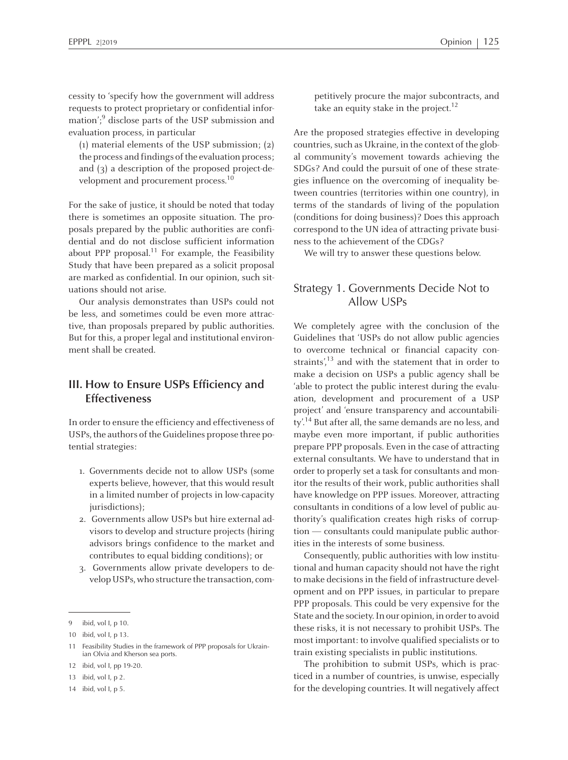cessity to 'specify how the governmen<sup>t</sup> will address requests to protect proprietary or confidential information'; 9 disclose parts of the USP submission and evaluation process, in particular

(1) material elements of the USP submission; (2) the process and findings of the evaluation process; and (3) <sup>a</sup> description of the proposed project-development and procurement process.<sup>10</sup>

For the sake of justice, it should be noted that today there is sometimes an opposite situation. The proposals prepared by the public authorities are confidential and do not disclose sufficient information about PPP proposal.<sup>11</sup> For example, the Feasibility Study that have been prepared as <sup>a</sup> solicit proposal are marked as confidential. In our opinion, such situations should not arise.

Our analysis demonstrates than USPs could not be less, and sometimes could be even more attractive, than proposals prepared by public authorities. But for this, <sup>a</sup> proper legal and institutional environment shall be created.

## **III. How to Ensure USPs Efficiency and Effectiveness**

In order to ensure the efficiency and effectiveness of USPs, the authors of the Guidelines propose three potential strategies:

- 1. Governments decide not to allow USPs (some experts believe, however, that this would result in <sup>a</sup> limited number of projects in low-capacity jurisdictions);
- 2. Governments allow USPs but hire external advisors to develop and structure projects (hiring advisors brings confidence to the market and contributes to equal bidding conditions); or
- 3. Governments allow private developers to develop USPs,who structure the transaction, com-

<sup>13</sup> ibid, vol I, p 2.

petitively procure the major subcontracts, and take an equity stake in the project.<sup>12</sup>

Are the proposed strategies effective in developing countries, such as Ukraine, in the context of the global community's movement towards achieving the SDGs? And could the pursuit of one of these strategies influence on the overcoming of inequality between countries (territories within one country), in terms of the standards of living of the population (conditions for doing business)? Does this approach correspond to the UN idea of attracting private business to the achievement of the CDGs?

We will try to answer these questions below.

# Strategy 1. Governments Decide Not to Allow USPs

We completely agree with the conclusion of the Guidelines that 'USPs do not allow public agencies to overcome technical or financial capacity constraints',<sup>13</sup> and with the statement that in order to make <sup>a</sup> decision on USPs <sup>a</sup> public agency shall be 'able to protect the public interest during the evaluation, development and procuremen<sup>t</sup> of <sup>a</sup> USP project' and 'ensure transparency and accountability'.<sup>14</sup> But after all, the same demands are no less, and maybe even more important, if public authorities prepare PPP proposals. Even in the case of attracting external consultants. We have to understand that in order to properly set a task for consultants and monitor the results of their work, public authorities shall have knowledge on PPP issues. Moreover, attracting consultants in conditions of <sup>a</sup> low level of public authority's qualification creates high risks of corruption — consultants could manipulate public authorities in the interests of some business.

Consequently, public authorities with low institutional and human capacity should not have the right to make decisions in the field of infrastructure developmen<sup>t</sup> and on PPP issues, in particular to prepare PPP proposals. This could be very expensive for the State and the society. In our opinion, in order to avoid these risks, it is not necessary to prohibit USPs. The most important: to involve qualified specialists or to train existing specialists in public institutions.

The prohibition to submit USPs, which is practiced in <sup>a</sup> number of countries, is unwise, especially for the developing countries. It will negatively affect

<sup>9</sup> ibid, vol I, p 10.

<sup>10</sup> ibid, vol I, p 13.

Feasibility Studies in the framework of PPP proposals for Ukrainian Olvia and Kherson sea ports.

<sup>12</sup> ibid, vol I, pp 19-20.

<sup>14</sup> ibid, vol I, p 5.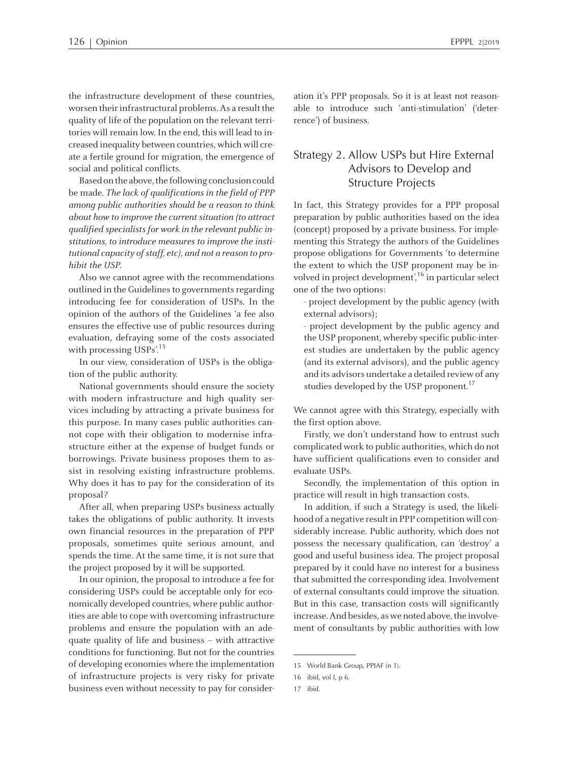the infrastructure development of these countries, worsen their infrastructural problems. As a result the quality of life of the population on the relevant territories will remain low. In the end, this will lead to increased inequality between countries, which will create <sup>a</sup> fertile ground for migration, the emergence of social and political conflicts.

Based on the above, the following conclusion could be made. The lack of qualifications in the field of PPP among public authorities should be <sup>a</sup> reason to think about how to improve the current situation (to attract qualified specialists for work in the relevant public institutions, to introduce measures to improve the institutional capacity of staff, etc), and not a reason to prohibit the USP.

Also we cannot agree with the recommendations outlined in the Guidelines to governments regarding introducing fee for consideration of USPs. In the opinion of the authors of the Guidelines 'а fee also ensures the effective use of public resources during evaluation, defraying some of the costs associated with processing USPs'.<sup>15</sup>

In our view, consideration of USPs is the obligation of the public authority.

National governments should ensure the society with modern infrastructure and high quality services including by attracting <sup>a</sup> private business for this purpose. In many cases public authorities cannot cope with their obligation to modernise infrastructure either at the expense of budget funds or borrowings. Private business proposes them to assist in resolving existing infrastructure problems. Why does it has to pay for the consideration of its proposal?

After all, when preparing USPs business actually takes the obligations of public authority. It invests own financial resources in the preparation of PPP proposals, sometimes quite serious amount, and spends the time. At the same time, it is not sure that the project proposed by it will be supported.

In our opinion, the proposal to introduce <sup>a</sup> fee for considering USPs could be acceptable only for economically developed countries, where public authorities are able to cope with overcoming infrastructure problems and ensure the population with an adequate quality of life and business – with attractive conditions for functioning. But not for the countries of developing economies where the implementation of infrastructure projects is very risky for private business even without necessity to pay for consideration it's PPP proposals. So it is at least not reasonable to introduce such 'anti-stimulation' ('deterrence') of business.

# Strategy 2. <sup>А</sup>llow USPs but Hire External Advisors to Develop and Structure Projects

In fact, this Strategy provides for <sup>a</sup> PPP proposal preparation by public authorities based on the idea (concept) proposed by <sup>a</sup> private business. For implementing this Strategy the authors of the Guidelines propose obligations for Governments 'to determine the extent to which the USP proponen<sup>t</sup> may be involved in project development', 16 in particular select one of the two options:

- project development by the public agency (with external advisors);

- project development by the public agency and the USP proponent, whereby specific public-interest studies are undertaken by the public agency (and its external advisors), and the public agency and its advisors undertake <sup>a</sup> detailed review of any studies developed by the USP proponent.<sup>17</sup>

We cannot agree with this Strategy, especially with the first option above.

Firstly, we don't understand how to entrust such complicated work to public authorities, which do not have sufficient qualifications even to consider and evaluate USPs.

Secondly, the implementation of this option in practice will result in high transaction costs.

In addition, if such <sup>a</sup> Strategy is used, the likelihood of a negative result in PPP competition will considerably increase. Public authority, which does not possess the necessary qualification, can 'destroy' <sup>a</sup> good and useful business idea. The project proposal prepared by it could have no interest for <sup>a</sup> business that submitted the corresponding idea. Involvement of external consultants could improve the situation. But in this case, transaction costs will significantly increase. And besides, as we noted above, the involvement of consultants by public authorities with low

<sup>15</sup> World Bank Group, PPIAF (n 1).

<sup>16</sup> ibid, vol I, p 6.

<sup>17</sup> ibid.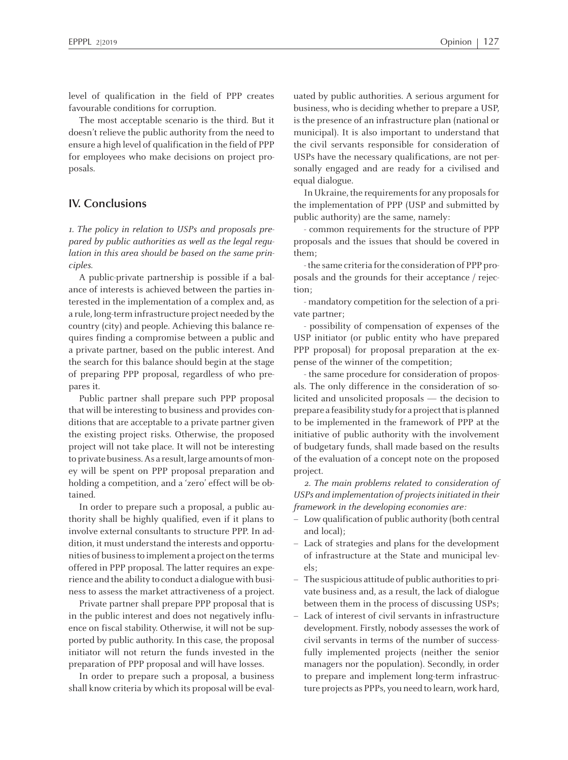level of qualification in the field of PPP creates favourable conditions for corruption.

The most acceptable scenario is the third. But it doesn't relieve the public authority from the need to ensure <sup>a</sup> high level of qualification in the field of PPP for employees who make decisions on project proposals.

## **IV. Conclusions**

1. The policy in relation to USPs and proposals prepared by public authorities as well as the legal regulation in this area should be based on the same principles.

<sup>A</sup> public-private partnership is possible if <sup>a</sup> balance of interests is achieved between the parties interested in the implementation of <sup>a</sup> complex and, as <sup>a</sup> rule, long-terminfrastructure project needed by the country (city) and people. Achieving this balance requires finding <sup>a</sup> compromise between <sup>a</sup> public and <sup>a</sup> private partner, based on the public interest. And the search for this balance should begin at the stage of preparing PPP proposal, regardless of who prepares it.

Public partner shall prepare such PPP proposal that will be interesting to business and provides conditions that are acceptable to <sup>a</sup> private partner given the existing project risks. Otherwise, the proposed project will not take place. It will not be interesting to private business. As a result, large amounts of money will be spen<sup>t</sup> on PPP proposal preparation and holding <sup>a</sup> competition, and <sup>a</sup> 'zero' effect will be obtained.

In order to prepare such <sup>a</sup> proposal, <sup>a</sup> public authority shall be highly qualified, even if it plans to involve external consultants to structure PPP. In addition, it must understand the interests and opportunities of businessto implement <sup>a</sup> project on the terms offered in PPP proposal. The latter requires an experience and the ability to conduct <sup>a</sup> dialogue with business to assess the market attractiveness of <sup>a</sup> project.

Private partner shall prepare PPP proposal that is in the public interest and does not negatively influence on fiscal stability. Otherwise, it will not be supported by public authority. In this case, the proposal initiator will not return the funds invested in the preparation of PPP proposal and will have losses.

In order to prepare such <sup>a</sup> proposal, <sup>a</sup> business shall know criteria by which its proposal will be evaluated by public authorities. <sup>A</sup> serious argumen<sup>t</sup> for business, who is deciding whether to prepare <sup>a</sup> USP, is the presence of an infrastructure plan (national or municipal). It is also important to understand that the civil servants responsible for consideration of USPs have the necessary qualifications, are not personally engaged and are ready for <sup>a</sup> civilised and equal dialogue.

In Ukraine, the requirements for any proposals for the implementation of PPP (USP and submitted by public authority) are the same, namely:

- common requirements for the structure of PPP proposals and the issues that should be covered in them;

-the same criteria forthe consideration of PPP proposals and the grounds for their acceptance / rejection;

-mandatory competition for the selection of <sup>a</sup> private partner;

 possibility of compensation of expenses of the USP initiator (or public entity who have prepared PPP proposal) for proposal preparation at the expense of the winner of the competition;

- the same procedure for consideration of proposals. The only difference in the consideration of solicited and unsolicited proposals — the decision to prepare a feasibility study for a project that is planned to be implemented in the framework of PPP at the initiative of public authority with the involvement of budgetary funds, shall made based on the results of the evaluation of <sup>a</sup> concep<sup>t</sup> note on the proposed project.

2. The main problems related to consideration of USPs and implementation of projects initiated in their framework in the developing economies are:

- Low qualification of public authority (both central and local);
- Lack of strategies and plans for the development of infrastructure at the State and municipal levels;
- The suspicious attitude of public authoritiesto private business and, as <sup>a</sup> result, the lack of dialogue between them in the process of discussing USPs;
- – Lack of interest of civil servants in infrastructure development. Firstly, nobody assesses the work of civil servants in terms of the number of successfully implemented projects (neither the senior managers nor the population). Secondly, in order to prepare and implement long-term infrastructure projects as PPPs, you need to learn, work hard,